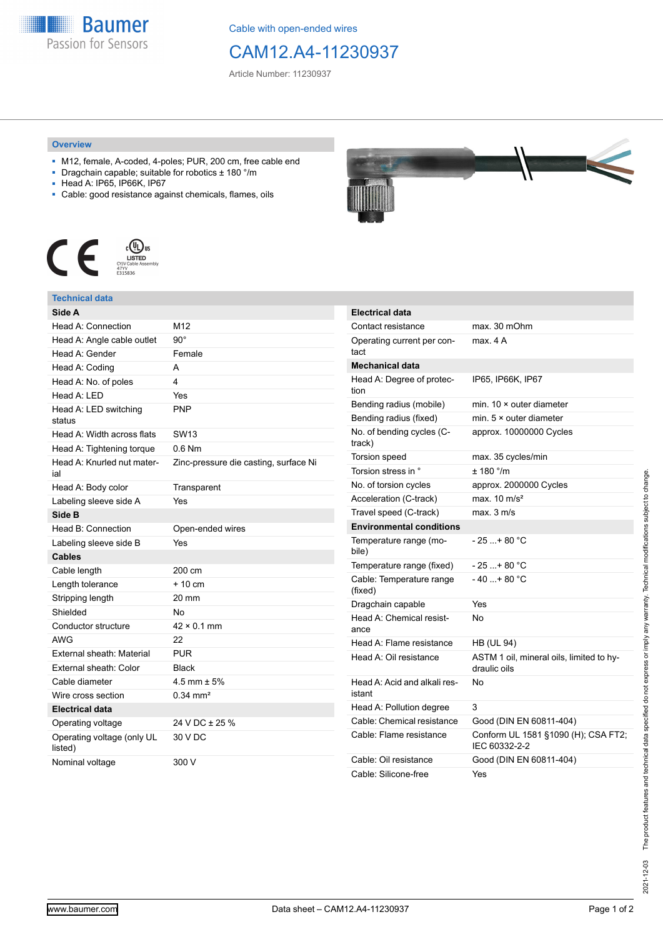

Cable with open-ended wires

# CAM12.A4-11230937

Article Number: 11230937

#### **Overview**

- M12, female, A-coded, 4-poles; PUR, 200 cm, free cable end
- Dragchain capable; suitable for robotics ± 180 °/m
- Head A: IP65, IP66K, IP67
- Cable: good resistance against chemicals, flames, oils



### **Technical data**

| Side A                                |                                       |
|---------------------------------------|---------------------------------------|
| Head A: Connection                    | M12                                   |
| Head A: Angle cable outlet            | $90^{\circ}$                          |
| Head A: Gender                        | Female                                |
| Head A: Coding                        | A                                     |
| Head A: No. of poles                  | 4                                     |
| Head $A \cdot IFD$                    | Yes                                   |
| Head A: LED switching<br>status       | <b>PNP</b>                            |
| Head A: Width across flats            | SW <sub>13</sub>                      |
| Head A: Tightening torque             | $0.6$ Nm                              |
| Head A: Knurled nut mater-<br>ial     | Zinc-pressure die casting, surface Ni |
| Head A: Body color                    | Transparent                           |
| Labeling sleeve side A                | Yes                                   |
| Side B                                |                                       |
| Head B: Connection                    | Open-ended wires                      |
| Labeling sleeve side B                | Yes                                   |
| <b>Cables</b>                         |                                       |
| Cable length                          | 200 cm                                |
| Length tolerance                      | $+10 \text{ cm}$                      |
| Stripping length                      | 20 mm                                 |
| Shielded                              | No                                    |
| Conductor structure                   | $42 \times 0.1$ mm                    |
| AWG                                   | 22                                    |
| External sheath: Material             | <b>PUR</b>                            |
| External sheath: Color                | <b>Black</b>                          |
| Cable diameter                        | 4.5 mm $\pm$ 5%                       |
| Wire cross section                    | $0.34$ mm <sup>2</sup>                |
| <b>Electrical data</b>                |                                       |
| Operating voltage                     | 24 V DC ± 25 %                        |
| Operating voltage (only UL<br>listed) | 30 V DC                               |
| Nominal voltage                       | 300 V                                 |



| <b>Electrical data</b>                 |                                                          |
|----------------------------------------|----------------------------------------------------------|
| Contact resistance                     | max. 30 mOhm                                             |
| Operating current per con-<br>tact     | max 4 A                                                  |
| <b>Mechanical data</b>                 |                                                          |
| Head A: Degree of protec-<br>tion      | IP65, IP66K, IP67                                        |
| Bending radius (mobile)                | min. 10 × outer diameter                                 |
| Bending radius (fixed)                 | min. $5 \times$ outer diameter                           |
| No. of bending cycles (C-<br>track)    | approx. 10000000 Cycles                                  |
| <b>Torsion speed</b>                   | max. 35 cycles/min                                       |
| Torsion stress in °                    | ± 180 °/m                                                |
| No. of torsion cycles                  | approx. 2000000 Cycles                                   |
| Acceleration (C-track)                 | max. $10 \text{ m/s}^2$                                  |
| Travel speed (C-track)                 | max. 3 m/s                                               |
| <b>Environmental conditions</b>        |                                                          |
| Temperature range (mo-<br>bile)        | - 25 + 80 °C                                             |
| Temperature range (fixed)              | - 25 + 80 °C                                             |
| Cable: Temperature range<br>(fixed)    | $-40+80 °C$                                              |
| Dragchain capable                      | Yes                                                      |
| Head A: Chemical resist-<br>ance       | No                                                       |
| Head A: Flame resistance               | <b>HB (UL 94)</b>                                        |
| Head A: Oil resistance                 | ASTM 1 oil, mineral oils, limited to hy-<br>draulic oils |
| Head A: Acid and alkali res-<br>istant | N٥                                                       |
| Head A: Pollution degree               | 3                                                        |
| Cable: Chemical resistance             | Good (DIN EN 60811-404)                                  |
| Cable: Flame resistance                | Conform UL 1581 §1090 (H); CSA FT2;<br>IEC 60332-2-2     |
| Cable: Oil resistance                  | Good (DIN EN 60811-404)                                  |
| Cable: Silicone-free                   | Yes                                                      |